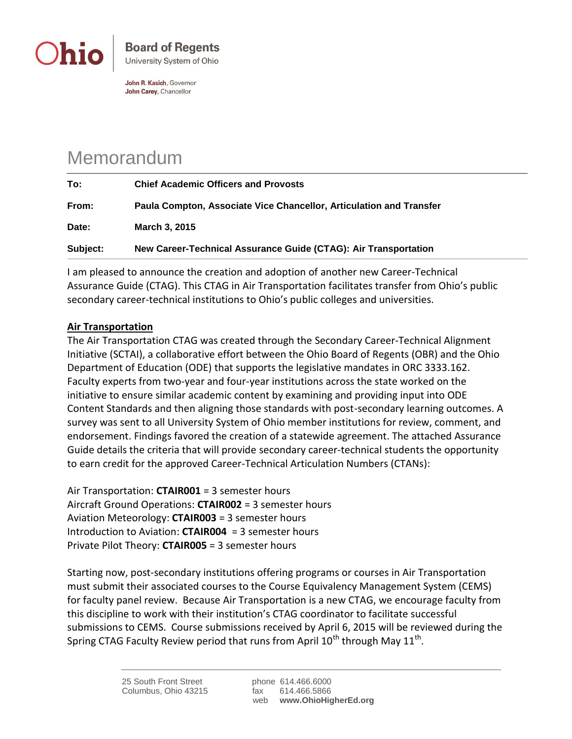

John R. Kasich, Governor John Carey, Chancellor

## Memorandum

| To:      | <b>Chief Academic Officers and Provosts</b>                         |
|----------|---------------------------------------------------------------------|
| From:    | Paula Compton, Associate Vice Chancellor, Articulation and Transfer |
| Date:    | <b>March 3, 2015</b>                                                |
| Subject: | New Career-Technical Assurance Guide (CTAG): Air Transportation     |

I am pleased to announce the creation and adoption of another new Career-Technical Assurance Guide (CTAG). This CTAG in Air Transportation facilitates transfer from Ohio's public secondary career-technical institutions to Ohio's public colleges and universities.

## **Air Transportation**

The Air Transportation CTAG was created through the Secondary Career-Technical Alignment Initiative (SCTAI), a collaborative effort between the Ohio Board of Regents (OBR) and the Ohio Department of Education (ODE) that supports the legislative mandates in ORC 3333.162. Faculty experts from two-year and four-year institutions across the state worked on the initiative to ensure similar academic content by examining and providing input into ODE Content Standards and then aligning those standards with post-secondary learning outcomes. A survey was sent to all University System of Ohio member institutions for review, comment, and endorsement. Findings favored the creation of a statewide agreement. The attached Assurance Guide details the criteria that will provide secondary career-technical students the opportunity to earn credit for the approved Career-Technical Articulation Numbers (CTANs):

Air Transportation: **CTAIR001** = 3 semester hours Aircraft Ground Operations: **CTAIR002** = 3 semester hours Aviation Meteorology: **CTAIR003** = 3 semester hours Introduction to Aviation: **CTAIR004** = 3 semester hours Private Pilot Theory: **CTAIR005** = 3 semester hours

Starting now, post-secondary institutions offering programs or courses in Air Transportation must submit their associated courses to the Course Equivalency Management System (CEMS) for faculty panel review. Because Air Transportation is a new CTAG, we encourage faculty from this discipline to work with their institution's CTAG coordinator to facilitate successful submissions to CEMS. Course submissions received by April 6, 2015 will be reviewed during the Spring CTAG Faculty Review period that runs from April 10<sup>th</sup> through May 11<sup>th</sup>.